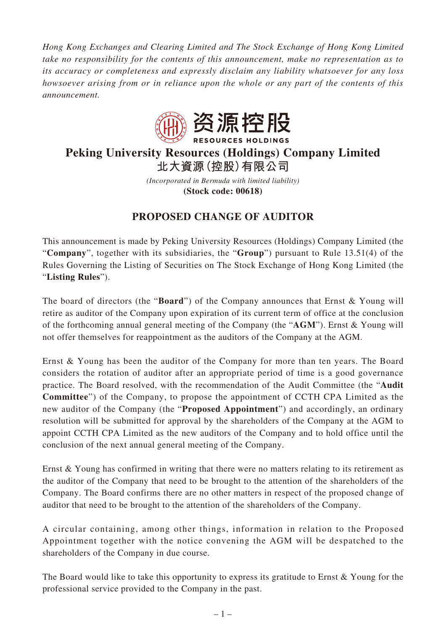*Hong Kong Exchanges and Clearing Limited and The Stock Exchange of Hong Kong Limited take no responsibility for the contents of this announcement, make no representation as to its accuracy or completeness and expressly disclaim any liability whatsoever for any loss howsoever arising from or in reliance upon the whole or any part of the contents of this announcement.*



## **Peking University Resources (Holdings) Company Limited 北大資源(控股)有限公司**

*(Incorporated in Bermuda with limited liability)* **(Stock code: 00618)**

## **PROPOSED CHANGE OF AUDITOR**

This announcement is made by Peking University Resources (Holdings) Company Limited (the "**Company**", together with its subsidiaries, the "**Group**") pursuant to Rule 13.51(4) of the Rules Governing the Listing of Securities on The Stock Exchange of Hong Kong Limited (the "**Listing Rules**").

The board of directors (the "**Board**") of the Company announces that Ernst & Young will retire as auditor of the Company upon expiration of its current term of office at the conclusion of the forthcoming annual general meeting of the Company (the "**AGM**"). Ernst & Young will not offer themselves for reappointment as the auditors of the Company at the AGM.

Ernst & Young has been the auditor of the Company for more than ten years. The Board considers the rotation of auditor after an appropriate period of time is a good governance practice. The Board resolved, with the recommendation of the Audit Committee (the "**Audit Committee**") of the Company, to propose the appointment of CCTH CPA Limited as the new auditor of the Company (the "**Proposed Appointment**") and accordingly, an ordinary resolution will be submitted for approval by the shareholders of the Company at the AGM to appoint CCTH CPA Limited as the new auditors of the Company and to hold office until the conclusion of the next annual general meeting of the Company.

Ernst & Young has confirmed in writing that there were no matters relating to its retirement as the auditor of the Company that need to be brought to the attention of the shareholders of the Company. The Board confirms there are no other matters in respect of the proposed change of auditor that need to be brought to the attention of the shareholders of the Company.

A circular containing, among other things, information in relation to the Proposed Appointment together with the notice convening the AGM will be despatched to the shareholders of the Company in due course.

The Board would like to take this opportunity to express its gratitude to Ernst & Young for the professional service provided to the Company in the past.